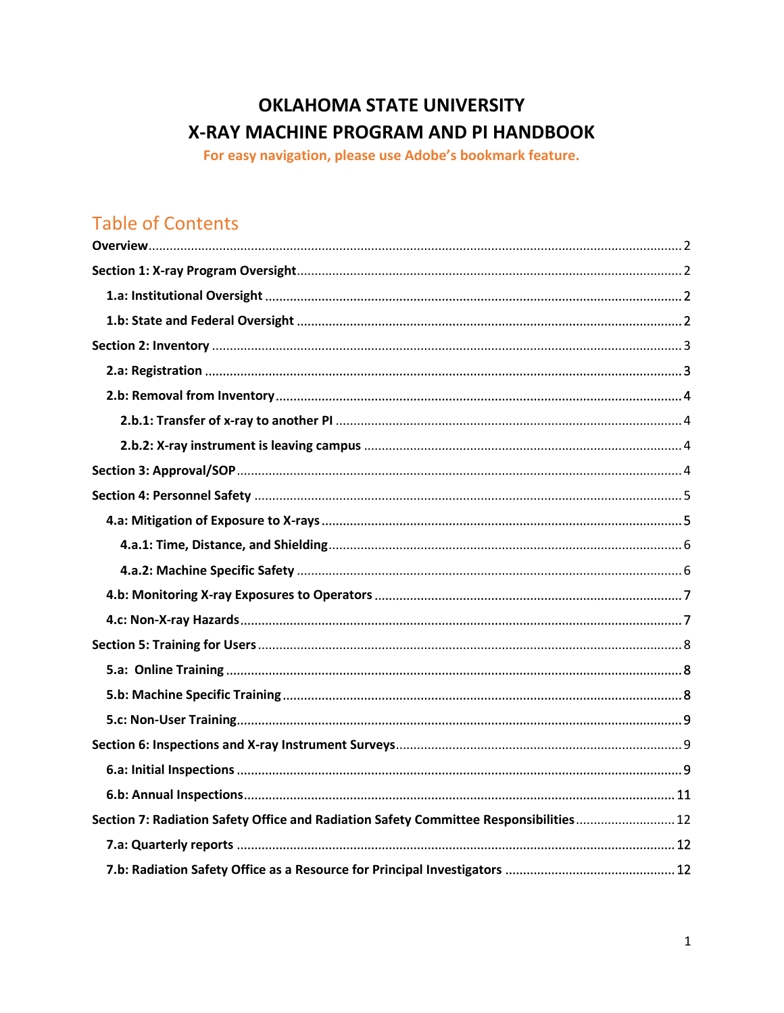# **OKLAHOMA STATE UNIVERSITY** X-RAY MACHINE PROGRAM AND PI HANDBOOK

For easy navigation, please use Adobe's bookmark feature.

# **Table of Contents**

| Section 7: Radiation Safety Office and Radiation Safety Committee Responsibilities 12 |
|---------------------------------------------------------------------------------------|
|                                                                                       |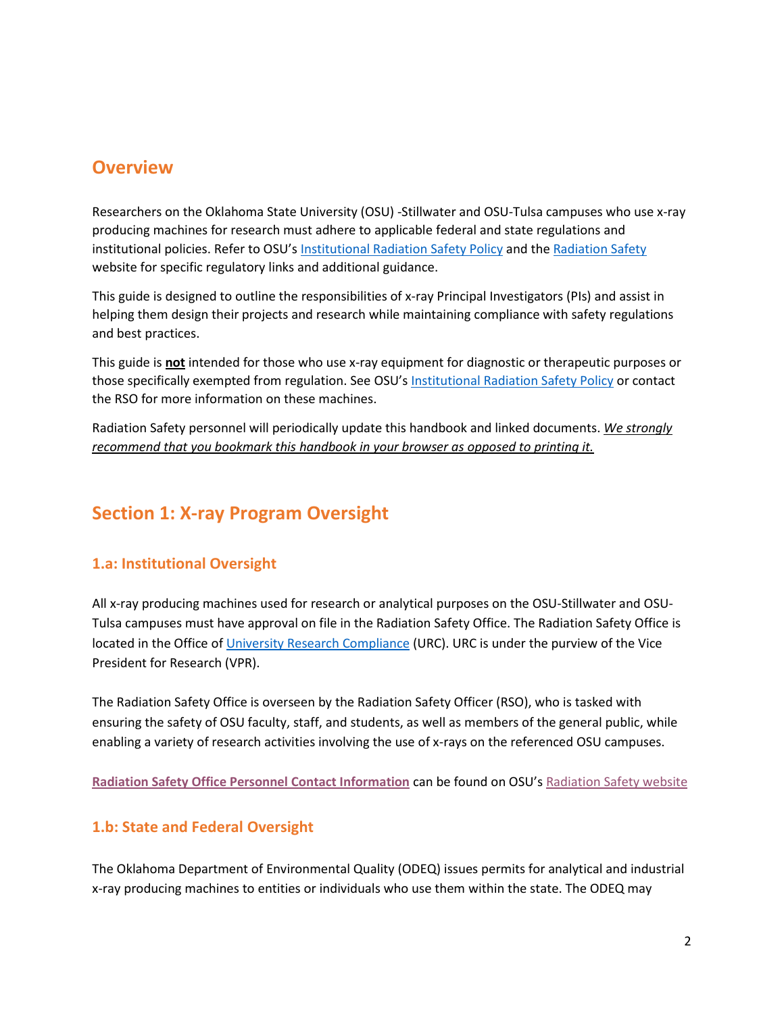## <span id="page-1-0"></span>**Overview**

Researchers on the Oklahoma State University (OSU) -Stillwater and OSU-Tulsa campuses who use x-ray producing machines for research must adhere to applicable federal and state regulations and institutional policies. Refer to OSU's [Institutional Radiation Safety Policy](https://stillwater.sharepoint.okstate.edu/Policies/Shared%20Documents/Institutional%20Radiation%20Safety.pdf) and the [Radiation Safety](http://compliance.okstate.edu/rso/rso-index) website for specific regulatory links and additional guidance.

This guide is designed to outline the responsibilities of x-ray Principal Investigators (PIs) and assist in helping them design their projects and research while maintaining compliance with safety regulations and best practices.

This guide is **not** intended for those who use x-ray equipment for diagnostic or therapeutic purposes or those specifically exempted from regulation. See OSU's [Institutional Radiation Safety Policy](https://stillwater.sharepoint.okstate.edu/Policies/Shared%20Documents/Institutional%20Radiation%20Safety.pdf) or contact the RSO for more information on these machines.

Radiation Safety personnel will periodically update this handbook and linked documents. *We strongly recommend that you bookmark this handbook in your browser as opposed to printing it.*

## <span id="page-1-1"></span>**Section 1: X-ray Program Oversight**

## <span id="page-1-2"></span>**1.a: Institutional Oversight**

All x-ray producing machines used for research or analytical purposes on the OSU-Stillwater and OSU-Tulsa campuses must have approval on file in the Radiation Safety Office. The Radiation Safety Office is located in the Office o[f University Research Compliance](http://compliance.okstate.edu/) (URC). URC is under the purview of the Vice President for Research (VPR).

The Radiation Safety Office is overseen by the Radiation Safety Officer (RSO), who is tasked with ensuring the safety of OSU faculty, staff, and students, as well as members of the general public, while enabling a variety of research activities involving the use of x-rays on the referenced OSU campuses.

**[Radiation Safety Office Personnel Contact Information](http://compliance.okstate.edu/rso/rso-contacts)** can be found on OSU's [Radiation Safety website](http://compliance.okstate.edu/rso/rso-index)

#### <span id="page-1-3"></span>**1.b: State and Federal Oversight**

The Oklahoma Department of Environmental Quality (ODEQ) issues permits for analytical and industrial x-ray producing machines to entities or individuals who use them within the state. The ODEQ may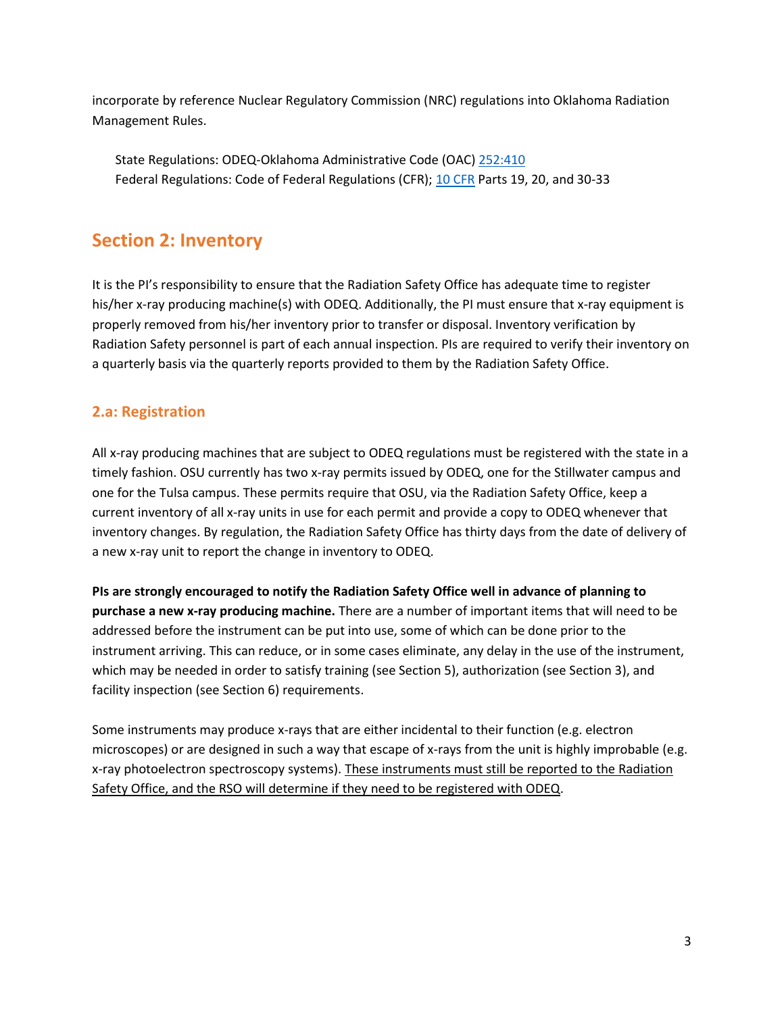incorporate by reference Nuclear Regulatory Commission (NRC) regulations into Oklahoma Radiation Management Rules.

State Regulations: ODEQ-Oklahoma Administrative Code (OAC) 252:410 Federal Regulations: Code of Federal Regulations (CFR); [10 CFR](http://www.nrc.gov/reading-rm/doc-collections/cfr/) Parts 19, 20, and 30-33

## <span id="page-2-0"></span>**Section 2: Inventory**

It is the PI's responsibility to ensure that the Radiation Safety Office has adequate time to register his/her x-ray producing machine(s) with ODEQ. Additionally, the PI must ensure that x-ray equipment is properly removed from his/her inventory prior to transfer or disposal. Inventory verification by Radiation Safety personnel is part of each annual inspection. PIs are required to verify their inventory on a quarterly basis via the quarterly reports provided to them by the Radiation Safety Office.

## <span id="page-2-1"></span>**2.a: Registration**

All x-ray producing machines that are subject to ODEQ regulations must be registered with the state in a timely fashion. OSU currently has two x-ray permits issued by ODEQ, one for the Stillwater campus and one for the Tulsa campus. These permits require that OSU, via the Radiation Safety Office, keep a current inventory of all x-ray units in use for each permit and provide a copy to ODEQ whenever that inventory changes. By regulation, the Radiation Safety Office has thirty days from the date of delivery of a new x-ray unit to report the change in inventory to ODEQ.

**PIs are strongly encouraged to notify the Radiation Safety Office well in advance of planning to purchase a new x-ray producing machine.** There are a number of important items that will need to be addressed before the instrument can be put into use, some of which can be done prior to the instrument arriving. This can reduce, or in some cases eliminate, any delay in the use of the instrument, which may be needed in order to satisfy training (see Section 5), authorization (see Section 3), and facility inspection (see Section 6) requirements.

Some instruments may produce x-rays that are either incidental to their function (e.g. electron microscopes) or are designed in such a way that escape of x-rays from the unit is highly improbable (e.g. x-ray photoelectron spectroscopy systems). These instruments must still be reported to the Radiation Safety Office, and the RSO will determine if they need to be registered with ODEQ.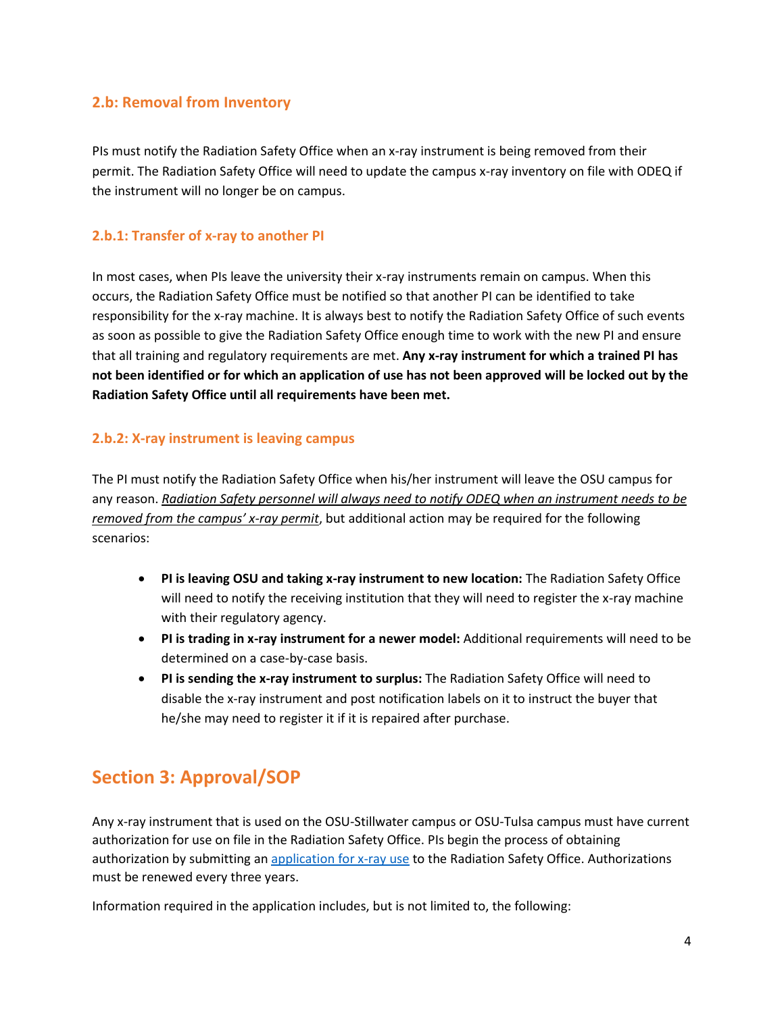#### <span id="page-3-0"></span>**2.b: Removal from Inventory**

PIs must notify the Radiation Safety Office when an x-ray instrument is being removed from their permit. The Radiation Safety Office will need to update the campus x-ray inventory on file with ODEQ if the instrument will no longer be on campus.

#### <span id="page-3-1"></span>**2.b.1: Transfer of x-ray to another PI**

In most cases, when PIs leave the university their x-ray instruments remain on campus. When this occurs, the Radiation Safety Office must be notified so that another PI can be identified to take responsibility for the x-ray machine. It is always best to notify the Radiation Safety Office of such events as soon as possible to give the Radiation Safety Office enough time to work with the new PI and ensure that all training and regulatory requirements are met. **Any x-ray instrument for which a trained PI has not been identified or for which an application of use has not been approved will be locked out by the Radiation Safety Office until all requirements have been met.**

#### <span id="page-3-2"></span>**2.b.2: X-ray instrument is leaving campus**

The PI must notify the Radiation Safety Office when his/her instrument will leave the OSU campus for any reason. *Radiation Safety personnel will always need to notify ODEQ when an instrument needs to be removed from the campus' x-ray permit*, but additional action may be required for the following scenarios:

- **PI is leaving OSU and taking x-ray instrument to new location:** The Radiation Safety Office will need to notify the receiving institution that they will need to register the x-ray machine with their regulatory agency.
- **PI is trading in x-ray instrument for a newer model:** Additional requirements will need to be determined on a case-by-case basis.
- **PI is sending the x-ray instrument to surplus:** The Radiation Safety Office will need to disable the x-ray instrument and post notification labels on it to instruct the buyer that he/she may need to register it if it is repaired after purchase.

## <span id="page-3-3"></span>**Section 3: Approval/SOP**

Any x-ray instrument that is used on the OSU-Stillwater campus or OSU-Tulsa campus must have current authorization for use on file in the Radiation Safety Office. PIs begin the process of obtaining authorization by submitting an [application for x-ray use](http://compliance.okstate.edu/sites/default/files/rso_docs/X-ray%20Use%20Application.pdf) to the Radiation Safety Office. Authorizations must be renewed every three years.

Information required in the application includes, but is not limited to, the following: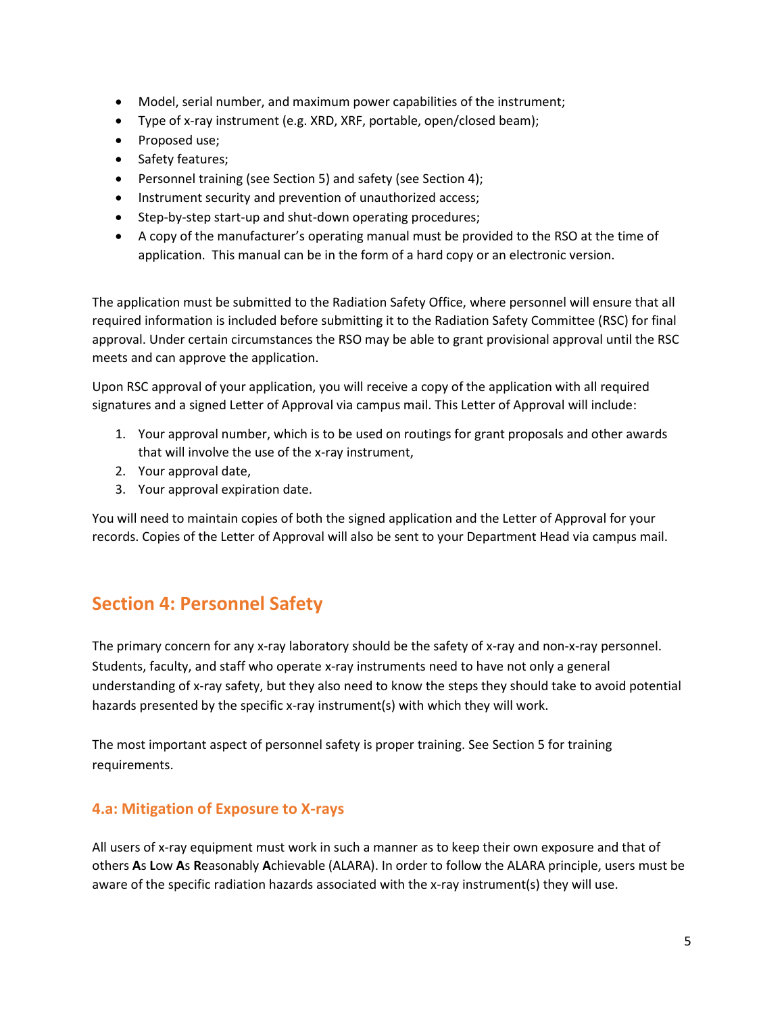- Model, serial number, and maximum power capabilities of the instrument;
- Type of x-ray instrument (e.g. XRD, XRF, portable, open/closed beam);
- Proposed use;
- Safety features;
- Personnel training (see Section 5) and safety (see Section 4);
- Instrument security and prevention of unauthorized access;
- Step-by-step start-up and shut-down operating procedures;
- A copy of the manufacturer's operating manual must be provided to the RSO at the time of application. This manual can be in the form of a hard copy or an electronic version.

The application must be submitted to the Radiation Safety Office, where personnel will ensure that all required information is included before submitting it to the Radiation Safety Committee (RSC) for final approval. Under certain circumstances the RSO may be able to grant provisional approval until the RSC meets and can approve the application.

Upon RSC approval of your application, you will receive a copy of the application with all required signatures and a signed Letter of Approval via campus mail. This Letter of Approval will include:

- 1. Your approval number, which is to be used on routings for grant proposals and other awards that will involve the use of the x-ray instrument,
- 2. Your approval date,
- 3. Your approval expiration date.

You will need to maintain copies of both the signed application and the Letter of Approval for your records. Copies of the Letter of Approval will also be sent to your Department Head via campus mail.

## <span id="page-4-0"></span>**Section 4: Personnel Safety**

The primary concern for any x-ray laboratory should be the safety of x-ray and non-x-ray personnel. Students, faculty, and staff who operate x-ray instruments need to have not only a general understanding of x-ray safety, but they also need to know the steps they should take to avoid potential hazards presented by the specific x-ray instrument(s) with which they will work.

The most important aspect of personnel safety is proper training. See Section 5 for training requirements.

#### <span id="page-4-1"></span>**4.a: Mitigation of Exposure to X-rays**

All users of x-ray equipment must work in such a manner as to keep their own exposure and that of others **A**s **L**ow **A**s **R**easonably **A**chievable (ALARA). In order to follow the ALARA principle, users must be aware of the specific radiation hazards associated with the x-ray instrument(s) they will use.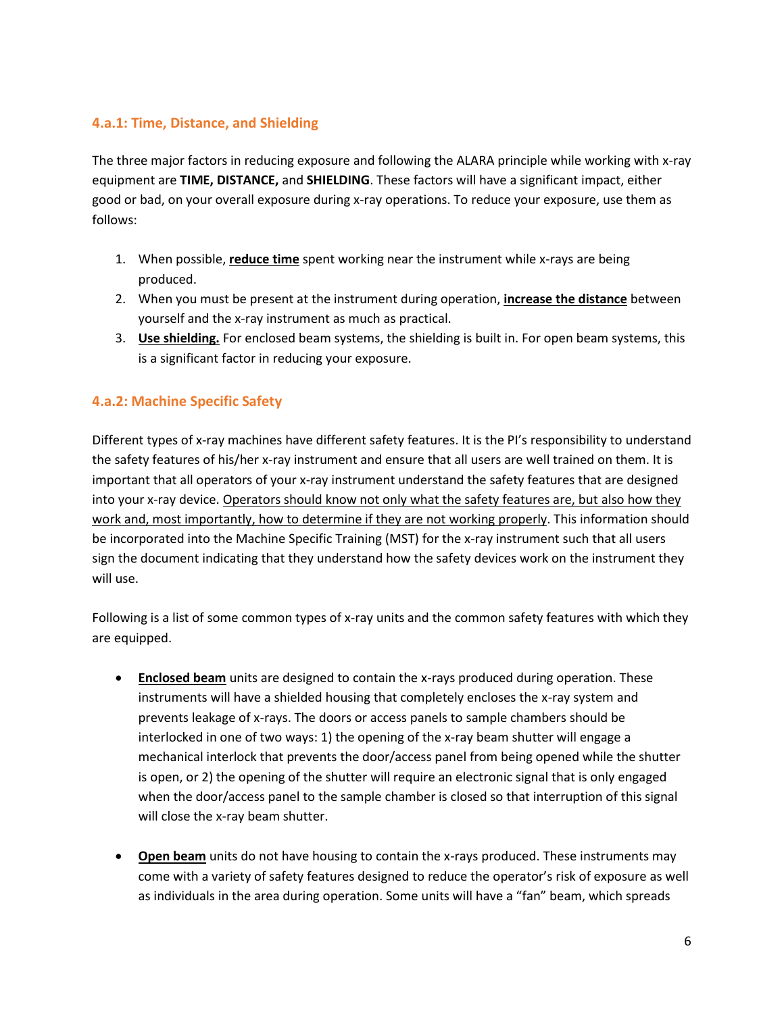#### <span id="page-5-0"></span>**4.a.1: Time, Distance, and Shielding**

The three major factors in reducing exposure and following the ALARA principle while working with x-ray equipment are **TIME, DISTANCE,** and **SHIELDING**. These factors will have a significant impact, either good or bad, on your overall exposure during x-ray operations. To reduce your exposure, use them as follows:

- 1. When possible, **reduce time** spent working near the instrument while x-rays are being produced.
- 2. When you must be present at the instrument during operation, **increase the distance** between yourself and the x-ray instrument as much as practical.
- 3. **Use shielding.** For enclosed beam systems, the shielding is built in. For open beam systems, this is a significant factor in reducing your exposure.

#### <span id="page-5-1"></span>**4.a.2: Machine Specific Safety**

Different types of x-ray machines have different safety features. It is the PI's responsibility to understand the safety features of his/her x-ray instrument and ensure that all users are well trained on them. It is important that all operators of your x-ray instrument understand the safety features that are designed into your x-ray device. Operators should know not only what the safety features are, but also how they work and, most importantly, how to determine if they are not working properly. This information should be incorporated into the Machine Specific Training (MST) for the x-ray instrument such that all users sign the document indicating that they understand how the safety devices work on the instrument they will use.

Following is a list of some common types of x-ray units and the common safety features with which they are equipped.

- **Enclosed beam** units are designed to contain the x-rays produced during operation. These instruments will have a shielded housing that completely encloses the x-ray system and prevents leakage of x-rays. The doors or access panels to sample chambers should be interlocked in one of two ways: 1) the opening of the x-ray beam shutter will engage a mechanical interlock that prevents the door/access panel from being opened while the shutter is open, or 2) the opening of the shutter will require an electronic signal that is only engaged when the door/access panel to the sample chamber is closed so that interruption of this signal will close the x-ray beam shutter.
- **Open beam** units do not have housing to contain the x-rays produced. These instruments may come with a variety of safety features designed to reduce the operator's risk of exposure as well as individuals in the area during operation. Some units will have a "fan" beam, which spreads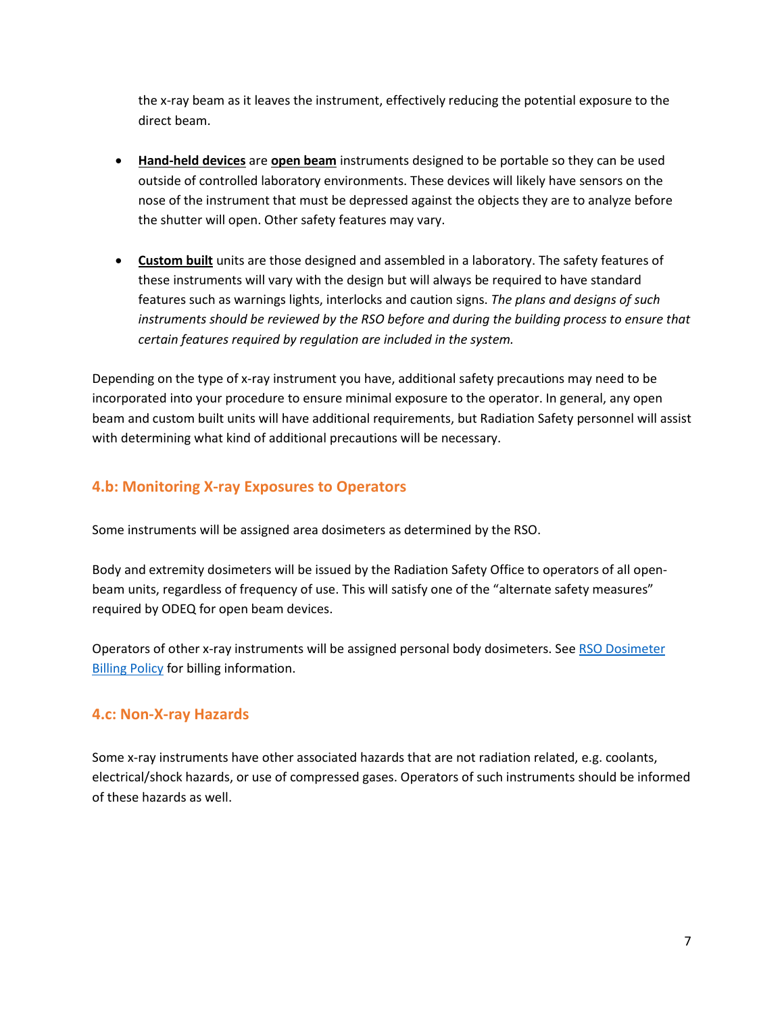the x-ray beam as it leaves the instrument, effectively reducing the potential exposure to the direct beam.

- **Hand-held devices** are **open beam** instruments designed to be portable so they can be used outside of controlled laboratory environments. These devices will likely have sensors on the nose of the instrument that must be depressed against the objects they are to analyze before the shutter will open. Other safety features may vary.
- **Custom built** units are those designed and assembled in a laboratory. The safety features of these instruments will vary with the design but will always be required to have standard features such as warnings lights, interlocks and caution signs. *The plans and designs of such*  instruments should be reviewed by the RSO before and during the building process to ensure that *certain features required by regulation are included in the system.*

Depending on the type of x-ray instrument you have, additional safety precautions may need to be incorporated into your procedure to ensure minimal exposure to the operator. In general, any open beam and custom built units will have additional requirements, but Radiation Safety personnel will assist with determining what kind of additional precautions will be necessary.

### <span id="page-6-0"></span>**4.b: Monitoring X-ray Exposures to Operators**

Some instruments will be assigned area dosimeters as determined by the RSO.

Body and extremity dosimeters will be issued by the Radiation Safety Office to operators of all openbeam units, regardless of frequency of use. This will satisfy one of the "alternate safety measures" required by ODEQ for open beam devices.

Operators of other x-ray instruments will be assigned personal body dosimeters. See [RSO Dosimeter](http://compliance.okstate.edu/sites/default/files/rso_docs/RSO%20Dosimeter%20Billing%20Policy.pdf)  **[Billing Policy](http://compliance.okstate.edu/sites/default/files/rso_docs/RSO%20Dosimeter%20Billing%20Policy.pdf) for billing information.** 

#### <span id="page-6-1"></span>**4.c: Non-X-ray Hazards**

Some x-ray instruments have other associated hazards that are not radiation related, e.g. coolants, electrical/shock hazards, or use of compressed gases. Operators of such instruments should be informed of these hazards as well.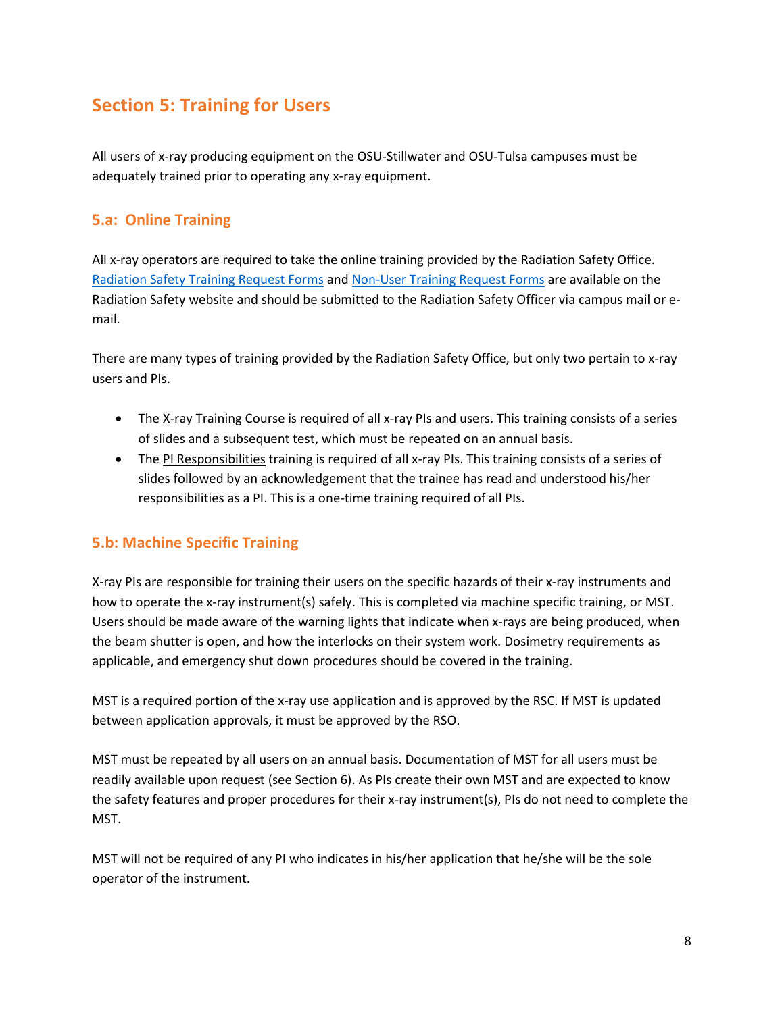## <span id="page-7-0"></span>**Section 5: Training for Users**

All users of x-ray producing equipment on the OSU-Stillwater and OSU-Tulsa campuses must be adequately trained prior to operating any x-ray equipment.

## <span id="page-7-1"></span>**5.a: Online Training**

All x-ray operators are required to take the online training provided by the Radiation Safety Office. [Radiation Safety Training Request Forms](http://compliance.okstate.edu/sites/default/files/rso_docs/Radiation%20Safety%20Training%20Request.pdf) an[d Non-User Training Request Forms](http://compliance.okstate.edu/sites/default/files/rso_docs/Radiation%20Safety%20NON-USER%20Training%20Request%20Form.pdf) are available on the Radiation Safety website and should be submitted to the Radiation Safety Officer via campus mail or email.

There are many types of training provided by the Radiation Safety Office, but only two pertain to x-ray users and PIs.

- The X-ray Training Course is required of all x-ray PIs and users. This training consists of a series of slides and a subsequent test, which must be repeated on an annual basis.
- The PI Responsibilities training is required of all x-ray PIs. This training consists of a series of slides followed by an acknowledgement that the trainee has read and understood his/her responsibilities as a PI. This is a one-time training required of all PIs.

## <span id="page-7-2"></span>**5.b: Machine Specific Training**

X-ray PIs are responsible for training their users on the specific hazards of their x-ray instruments and how to operate the x-ray instrument(s) safely. This is completed via machine specific training, or MST. Users should be made aware of the warning lights that indicate when x-rays are being produced, when the beam shutter is open, and how the interlocks on their system work. Dosimetry requirements as applicable, and emergency shut down procedures should be covered in the training.

MST is a required portion of the x-ray use application and is approved by the RSC. If MST is updated between application approvals, it must be approved by the RSO.

MST must be repeated by all users on an annual basis. Documentation of MST for all users must be readily available upon request (see Section 6). As PIs create their own MST and are expected to know the safety features and proper procedures for their x-ray instrument(s), PIs do not need to complete the MST.

MST will not be required of any PI who indicates in his/her application that he/she will be the sole operator of the instrument.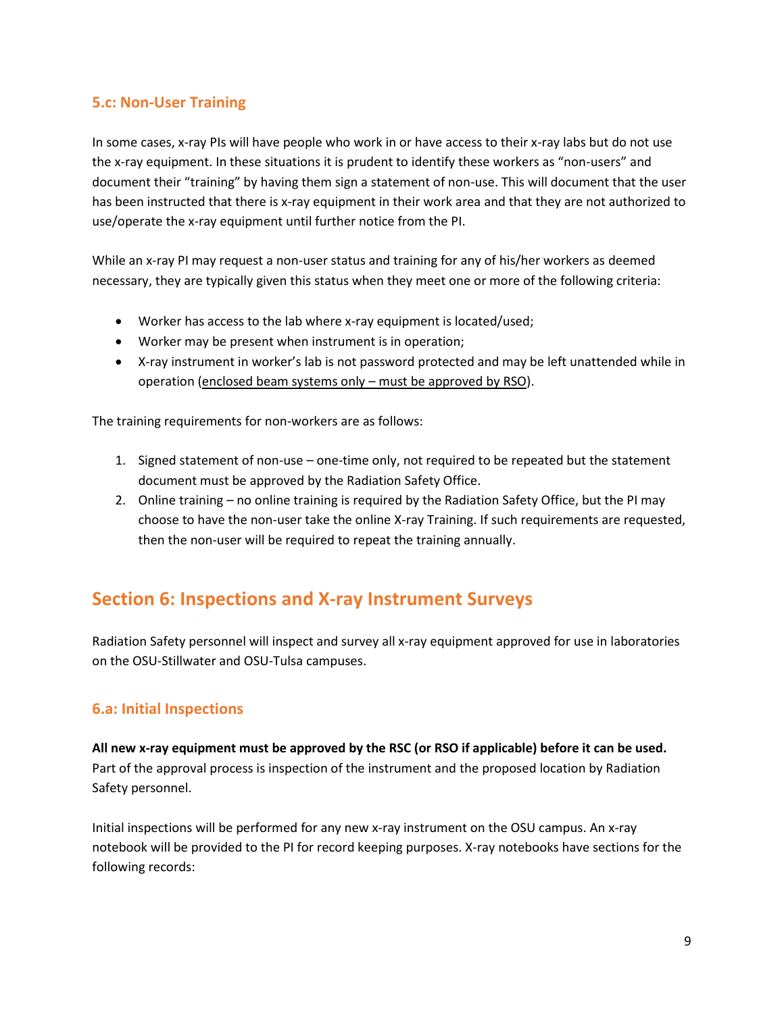### <span id="page-8-0"></span>**5.c: Non-User Training**

In some cases, x-ray PIs will have people who work in or have access to their x-ray labs but do not use the x-ray equipment. In these situations it is prudent to identify these workers as "non-users" and document their "training" by having them sign a statement of non-use. This will document that the user has been instructed that there is x-ray equipment in their work area and that they are not authorized to use/operate the x-ray equipment until further notice from the PI.

While an x-ray PI may request a non-user status and training for any of his/her workers as deemed necessary, they are typically given this status when they meet one or more of the following criteria:

- Worker has access to the lab where x-ray equipment is located/used;
- Worker may be present when instrument is in operation;
- X-ray instrument in worker's lab is not password protected and may be left unattended while in operation (enclosed beam systems only – must be approved by RSO).

The training requirements for non-workers are as follows:

- 1. Signed statement of non-use one-time only, not required to be repeated but the statement document must be approved by the Radiation Safety Office.
- 2. Online training no online training is required by the Radiation Safety Office, but the PI may choose to have the non-user take the online X-ray Training. If such requirements are requested, then the non-user will be required to repeat the training annually.

## <span id="page-8-1"></span>**Section 6: Inspections and X-ray Instrument Surveys**

Radiation Safety personnel will inspect and survey all x-ray equipment approved for use in laboratories on the OSU-Stillwater and OSU-Tulsa campuses.

#### <span id="page-8-2"></span>**6.a: Initial Inspections**

**All new x-ray equipment must be approved by the RSC (or RSO if applicable) before it can be used.**  Part of the approval process is inspection of the instrument and the proposed location by Radiation Safety personnel.

Initial inspections will be performed for any new x-ray instrument on the OSU campus. An x-ray notebook will be provided to the PI for record keeping purposes. X-ray notebooks have sections for the following records: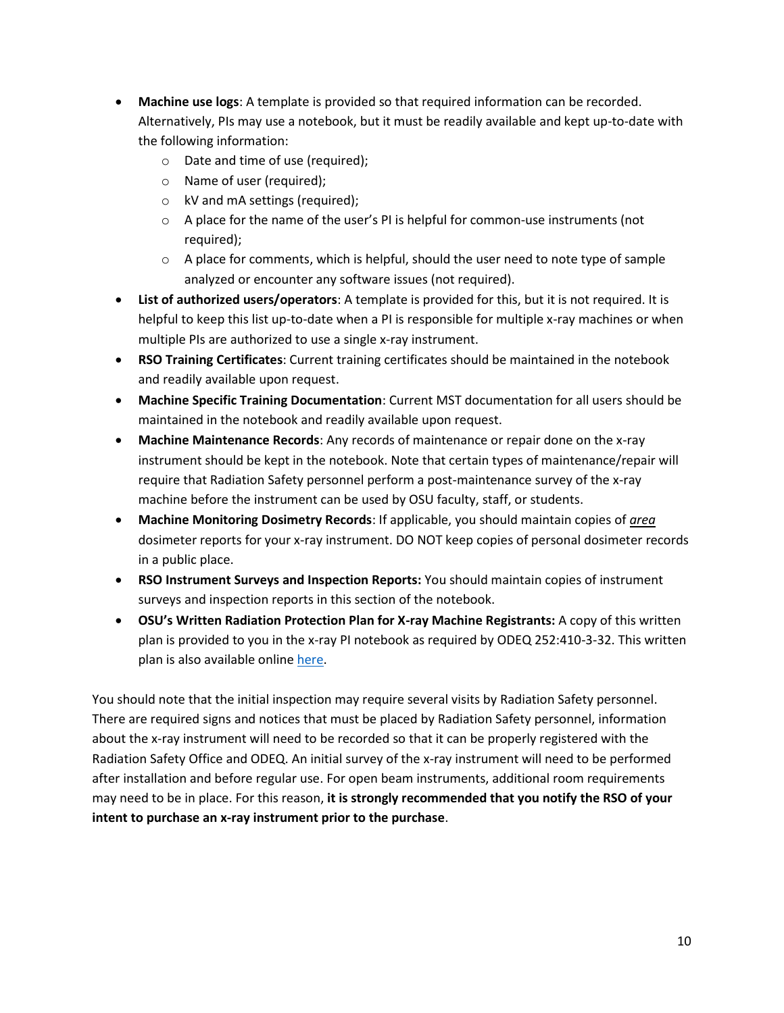- **Machine use logs**: A template is provided so that required information can be recorded. Alternatively, PIs may use a notebook, but it must be readily available and kept up-to-date with the following information:
	- o Date and time of use (required);
	- o Name of user (required);
	- o kV and mA settings (required);
	- $\circ$  A place for the name of the user's PI is helpful for common-use instruments (not required);
	- $\circ$  A place for comments, which is helpful, should the user need to note type of sample analyzed or encounter any software issues (not required).
- **List of authorized users/operators**: A template is provided for this, but it is not required. It is helpful to keep this list up-to-date when a PI is responsible for multiple x-ray machines or when multiple PIs are authorized to use a single x-ray instrument.
- **RSO Training Certificates**: Current training certificates should be maintained in the notebook and readily available upon request.
- **Machine Specific Training Documentation**: Current MST documentation for all users should be maintained in the notebook and readily available upon request.
- **Machine Maintenance Records**: Any records of maintenance or repair done on the x-ray instrument should be kept in the notebook. Note that certain types of maintenance/repair will require that Radiation Safety personnel perform a post-maintenance survey of the x-ray machine before the instrument can be used by OSU faculty, staff, or students.
- **Machine Monitoring Dosimetry Records**: If applicable, you should maintain copies of *area* dosimeter reports for your x-ray instrument. DO NOT keep copies of personal dosimeter records in a public place.
- **RSO Instrument Surveys and Inspection Reports:** You should maintain copies of instrument surveys and inspection reports in this section of the notebook.
- **OSU's Written Radiation Protection Plan for X-ray Machine Registrants:** A copy of this written plan is provided to you in the x-ray PI notebook as required by ODEQ 252:410-3-32. This written plan is also available online [here.](http://compliance.okstate.edu/sites/default/files/rso_docs/OSU%20Written%20Radiation%20Protection%20Plan%20for%20X-Rays.docx)

You should note that the initial inspection may require several visits by Radiation Safety personnel. There are required signs and notices that must be placed by Radiation Safety personnel, information about the x-ray instrument will need to be recorded so that it can be properly registered with the Radiation Safety Office and ODEQ. An initial survey of the x-ray instrument will need to be performed after installation and before regular use. For open beam instruments, additional room requirements may need to be in place. For this reason, **it is strongly recommended that you notify the RSO of your intent to purchase an x-ray instrument prior to the purchase**.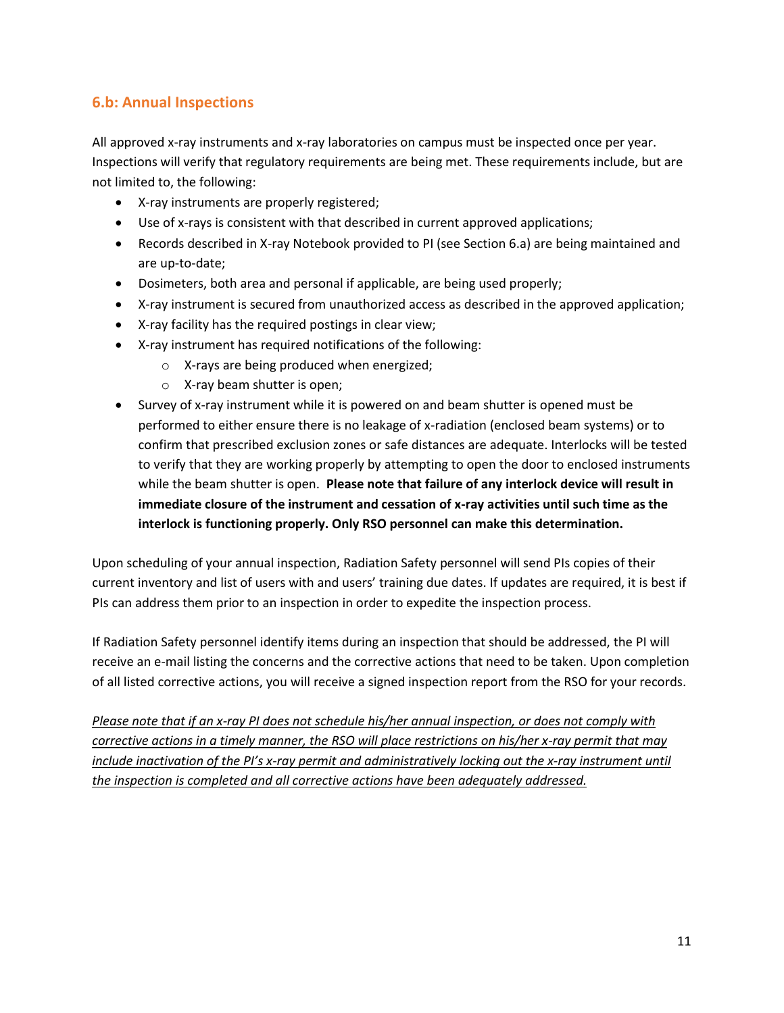### <span id="page-10-0"></span>**6.b: Annual Inspections**

All approved x-ray instruments and x-ray laboratories on campus must be inspected once per year. Inspections will verify that regulatory requirements are being met. These requirements include, but are not limited to, the following:

- X-ray instruments are properly registered;
- Use of x-rays is consistent with that described in current approved applications;
- Records described in X-ray Notebook provided to PI (see Section 6.a) are being maintained and are up-to-date;
- Dosimeters, both area and personal if applicable, are being used properly;
- X-ray instrument is secured from unauthorized access as described in the approved application;
- X-ray facility has the required postings in clear view;
- X-ray instrument has required notifications of the following:
	- o X-rays are being produced when energized;
	- o X-ray beam shutter is open;
- Survey of x-ray instrument while it is powered on and beam shutter is opened must be performed to either ensure there is no leakage of x-radiation (enclosed beam systems) or to confirm that prescribed exclusion zones or safe distances are adequate. Interlocks will be tested to verify that they are working properly by attempting to open the door to enclosed instruments while the beam shutter is open. **Please note that failure of any interlock device will result in immediate closure of the instrument and cessation of x-ray activities until such time as the interlock is functioning properly. Only RSO personnel can make this determination.**

Upon scheduling of your annual inspection, Radiation Safety personnel will send PIs copies of their current inventory and list of users with and users' training due dates. If updates are required, it is best if PIs can address them prior to an inspection in order to expedite the inspection process.

If Radiation Safety personnel identify items during an inspection that should be addressed, the PI will receive an e-mail listing the concerns and the corrective actions that need to be taken. Upon completion of all listed corrective actions, you will receive a signed inspection report from the RSO for your records.

*Please note that if an x-ray PI does not schedule his/her annual inspection, or does not comply with corrective actions in a timely manner, the RSO will place restrictions on his/her x-ray permit that may include inactivation of the PI's x-ray permit and administratively locking out the x-ray instrument until the inspection is completed and all corrective actions have been adequately addressed.*